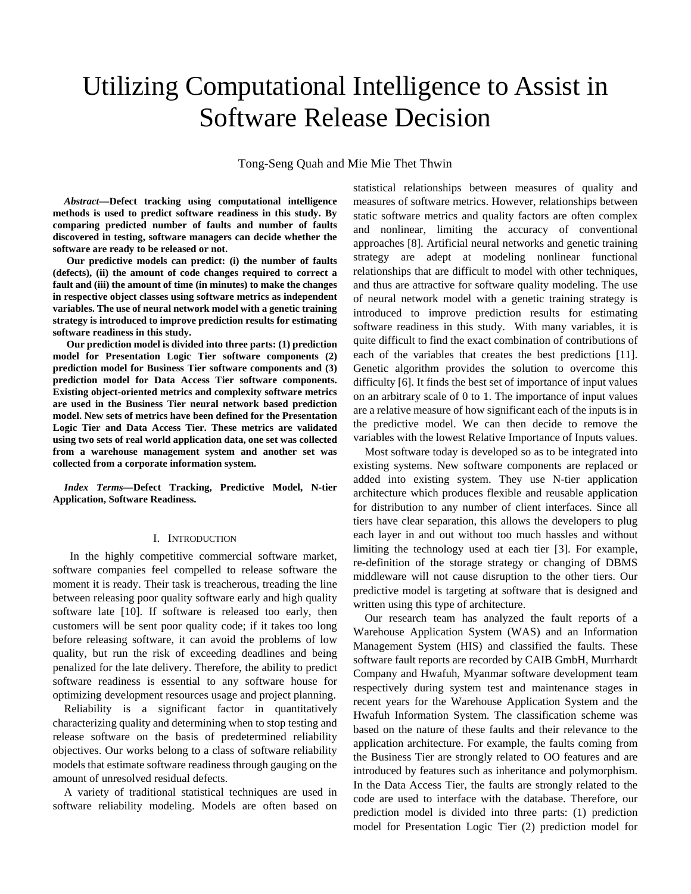# Utilizing Computational Intelligence to Assist in Software Release Decision

## Tong-Seng Quah and Mie Mie Thet Thwin

*Abstract***—Defect tracking using computational intelligence methods is used to predict software readiness in this study. By comparing predicted number of faults and number of faults discovered in testing, software managers can decide whether the software are ready to be released or not.**

**Our predictive models can predict: (i) the number of faults (defects), (ii) the amount of code changes required to correct a fault and (iii) the amount of time (in minutes) to make the changes in respective object classes using software metrics as independent variables. The use of neural network model with a genetic training strategy is introduced to improve prediction results for estimating software readiness in this study.**

**Our prediction model is divided into three parts: (1) prediction model for Presentation Logic Tier software components (2) prediction model for Business Tier software components and (3) prediction model for Data Access Tier software components. Existing object-oriented metrics and complexity software metrics are used in the Business Tier neural network based prediction model. New sets of metrics have been defined for the Presentation Logic Tier and Data Access Tier. These metrics are validated using two sets of real world application data, one set was collected from a warehouse management system and another set was collected from a corporate information system.**

*Index Terms***—Defect Tracking, Predictive Model, N-tier Application, Software Readiness.**

#### I. INTRODUCTION

In the highly competitive commercial software market, software companies feel compelled to release software the moment it is ready. Their task is treacherous, treading the line between releasing poor quality software early and high quality software late [10]. If software is released too early, then customers will be sent poor quality code; if it takes too long before releasing software, it can avoid the problems of low quality, but run the risk of exceeding deadlines and being penalized for the late delivery. Therefore, the ability to predict software readiness is essential to any software house for optimizing development resources usage and project planning.

Reliability is a significant factor in quantitatively characterizing quality and determining when to stop testing and release software on the basis of predetermined reliability objectives. Our works belong to a class of software reliability models that estimate software readiness through gauging on the amount of unresolved residual defects.

A variety of traditional statistical techniques are used in software reliability modeling. Models are often based on

statistical relationships between measures of quality and measures of software metrics. However, relationships between static software metrics and quality factors are often complex and nonlinear, limiting the accuracy of conventional approaches [8]. Artificial neural networks and genetic training strategy are adept at modeling nonlinear functional relationships that are difficult to model with other techniques, and thus are attractive for software quality modeling. The use of neural network model with a genetic training strategy is introduced to improve prediction results for estimating software readiness in this study. With many variables, it is quite difficult to find the exact combination of contributions of each of the variables that creates the best predictions [11]. Genetic algorithm provides the solution to overcome this difficulty [6]. It finds the best set of importance of input values on an arbitrary scale of 0 to 1. The importance of input values are a relative measure of how significant each of the inputs is in the predictive model. We can then decide to remove the variables with the lowest Relative Importance of Inputs values.

Most software today is developed so as to be integrated into existing systems. New software components are replaced or added into existing system. They use N-tier application architecture which produces flexible and reusable application for distribution to any number of client interfaces. Since all tiers have clear separation, this allows the developers to plug each layer in and out without too much hassles and without limiting the technology used at each tier [3]. For example, re-definition of the storage strategy or changing of DBMS middleware will not cause disruption to the other tiers. Our predictive model is targeting at software that is designed and written using this type of architecture.

Our research team has analyzed the fault reports of a Warehouse Application System (WAS) and an Information Management System (HIS) and classified the faults. These software fault reports are recorded by CAIB GmbH, Murrhardt Company and Hwafuh, Myanmar software development team respectively during system test and maintenance stages in recent years for the Warehouse Application System and the Hwafuh Information System. The classification scheme was based on the nature of these faults and their relevance to the application architecture. For example, the faults coming from the Business Tier are strongly related to OO features and are introduced by features such as inheritance and polymorphism. In the Data Access Tier, the faults are strongly related to the code are used to interface with the database. Therefore, our prediction model is divided into three parts: (1) prediction model for Presentation Logic Tier (2) prediction model for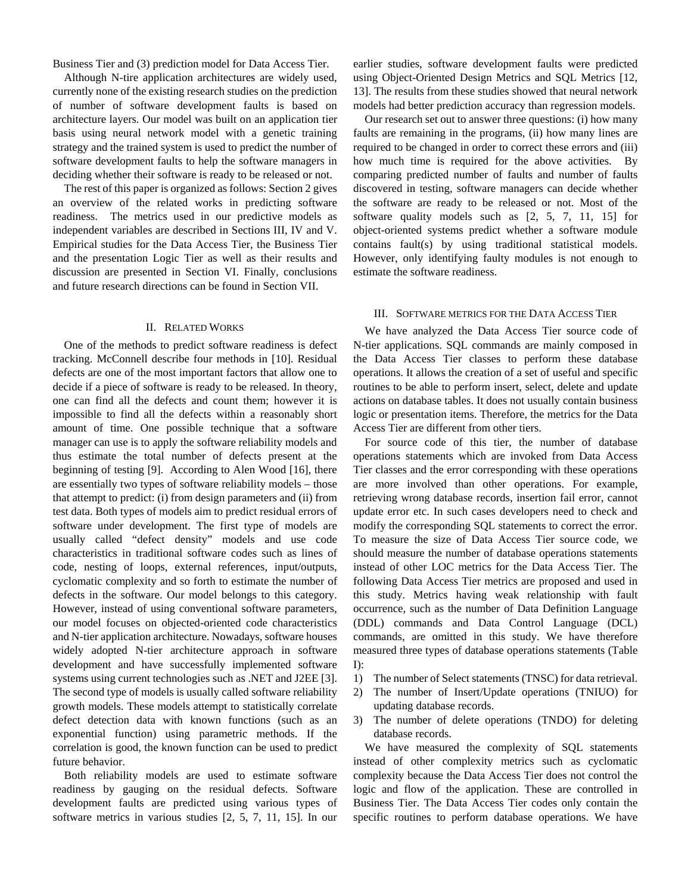Business Tier and (3) prediction model for Data Access Tier.

Although N-tire application architectures are widely used, currently none of the existing research studies on the prediction of number of software development faults is based on architecture layers. Our model was built on an application tier basis using neural network model with a genetic training strategy and the trained system is used to predict the number of software development faults to help the software managers in deciding whether their software is ready to be released or not.

The rest of this paper is organized as follows: Section 2 gives an overview of the related works in predicting software readiness. The metrics used in our predictive models as independent variables are described in Sections III, IV and V. Empirical studies for the Data Access Tier, the Business Tier and the presentation Logic Tier as well as their results and discussion are presented in Section VI. Finally, conclusions and future research directions can be found in Section VII.

#### II. RELATED WORKS

One of the methods to predict software readiness is defect tracking. McConnell describe four methods in [10]. Residual defects are one of the most important factors that allow one to decide if a piece of software is ready to be released. In theory, one can find all the defects and count them; however it is impossible to find all the defects within a reasonably short amount of time. One possible technique that a software manager can use is to apply the software reliability models and thus estimate the total number of defects present at the beginning of testing [9]. According to Alen Wood [16], there are essentially two types of software reliability models – those that attempt to predict: (i) from design parameters and (ii) from test data. Both types of models aim to predict residual errors of software under development. The first type of models are usually called "defect density" models and use code characteristics in traditional software codes such as lines of code, nesting of loops, external references, input/outputs, cyclomatic complexity and so forth to estimate the number of defects in the software. Our model belongs to this category. However, instead of using conventional software parameters, our model focuses on objected-oriented code characteristics and N-tier application architecture. Nowadays, software houses widely adopted N-tier architecture approach in software development and have successfully implemented software systems using current technologies such as .NET and J2EE [3]. The second type of models is usually called software reliability growth models. These models attempt to statistically correlate defect detection data with known functions (such as an exponential function) using parametric methods. If the correlation is good, the known function can be used to predict future behavior.

Both reliability models are used to estimate software readiness by gauging on the residual defects. Software development faults are predicted using various types of software metrics in various studies [2, 5, 7, 11, 15]. In our earlier studies, software development faults were predicted using Object-Oriented Design Metrics and SQL Metrics [12, 13]. The results from these studies showed that neural network models had better prediction accuracy than regression models.

Our research set out to answer three questions: (i) how many faults are remaining in the programs, (ii) how many lines are required to be changed in order to correct these errors and (iii) how much time is required for the above activities. By comparing predicted number of faults and number of faults discovered in testing, software managers can decide whether the software are ready to be released or not. Most of the software quality models such as [2, 5, 7, 11, 15] for object-oriented systems predict whether a software module contains fault(s) by using traditional statistical models. However, only identifying faulty modules is not enough to estimate the software readiness.

#### III. SOFTWARE METRICS FOR THE DATA ACCESS TIER

We have analyzed the Data Access Tier source code of N-tier applications. SQL commands are mainly composed in the Data Access Tier classes to perform these database operations. It allows the creation of a set of useful and specific routines to be able to perform insert, select, delete and update actions on database tables. It does not usually contain business logic or presentation items. Therefore, the metrics for the Data Access Tier are different from other tiers.

For source code of this tier, the number of database operations statements which are invoked from Data Access Tier classes and the error corresponding with these operations are more involved than other operations. For example, retrieving wrong database records, insertion fail error, cannot update error etc. In such cases developers need to check and modify the corresponding SQL statements to correct the error. To measure the size of Data Access Tier source code, we should measure the number of database operations statements instead of other LOC metrics for the Data Access Tier. The following Data Access Tier metrics are proposed and used in this study. Metrics having weak relationship with fault occurrence, such as the number of Data Definition Language (DDL) commands and Data Control Language (DCL) commands, are omitted in this study. We have therefore measured three types of database operations statements (Table  $I$ :

- 1) The number of Select statements (TNSC) for data retrieval.
- 2) The number of Insert/Update operations (TNIUO) for updating database records.
- 3) The number of delete operations (TNDO) for deleting database records.

We have measured the complexity of SQL statements instead of other complexity metrics such as cyclomatic complexity because the Data Access Tier does not control the logic and flow of the application. These are controlled in Business Tier. The Data Access Tier codes only contain the specific routines to perform database operations. We have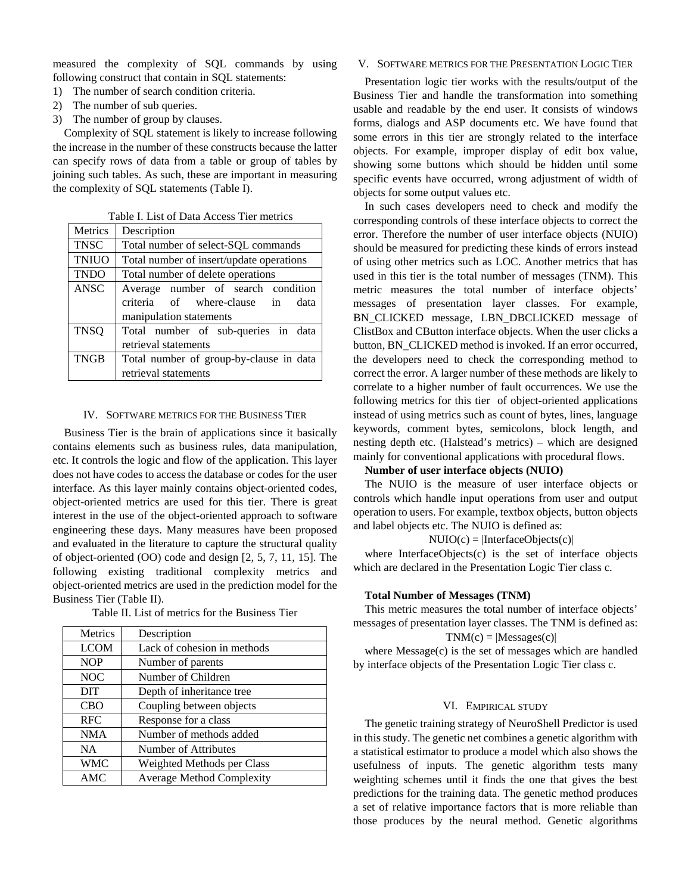measured the complexity of SQL commands by using following construct that contain in SQL statements:

- 1) The number of search condition criteria.
- 2) The number of sub queries.
- 3) The number of group by clauses.

Complexity of SQL statement is likely to increase following the increase in the number of these constructs because the latter can specify rows of data from a table or group of tables by joining such tables. As such, these are important in measuring the complexity of SQL statements (Table I).

| Metrics      | Description                              |  |  |
|--------------|------------------------------------------|--|--|
| <b>TNSC</b>  | Total number of select-SQL commands      |  |  |
| <b>TNIUO</b> | Total number of insert/update operations |  |  |
| <b>TNDO</b>  | Total number of delete operations        |  |  |
| <b>ANSC</b>  | Average number of search condition       |  |  |
|              | criteria of where-clause in data         |  |  |
|              | manipulation statements                  |  |  |
| <b>TNSQ</b>  | Total number of sub-queries in data      |  |  |
|              | retrieval statements                     |  |  |
| <b>TNGB</b>  | Total number of group-by-clause in data  |  |  |
|              | retrieval statements                     |  |  |

Table I. List of Data Access Tier metrics

### IV. SOFTWARE METRICS FOR THE BUSINESS TIER

Business Tier is the brain of applications since it basically contains elements such as business rules, data manipulation, etc. It controls the logic and flow of the application. This layer does not have codes to access the database or codes for the user interface. As this layer mainly contains object-oriented codes, object-oriented metrics are used for this tier. There is great interest in the use of the object-oriented approach to software engineering these days. Many measures have been proposed and evaluated in the literature to capture the structural quality of object-oriented (OO) code and design [2, 5, 7, 11, 15]. The following existing traditional complexity metrics and object-oriented metrics are used in the prediction model for the Business Tier (Table II).

| Metrics     | Description                      |
|-------------|----------------------------------|
| <b>LCOM</b> | Lack of cohesion in methods      |
| <b>NOP</b>  | Number of parents                |
| <b>NOC</b>  | Number of Children               |
| <b>DIT</b>  | Depth of inheritance tree        |
| <b>CBO</b>  | Coupling between objects         |
| <b>RFC</b>  | Response for a class             |
| <b>NMA</b>  | Number of methods added          |
| <b>NA</b>   | Number of Attributes             |
| WMC         | Weighted Methods per Class       |
| AMC         | <b>Average Method Complexity</b> |

Table II. List of metrics for the Business Tier

# V. SOFTWARE METRICS FOR THE PRESENTATION LOGIC TIER

Presentation logic tier works with the results/output of the Business Tier and handle the transformation into something usable and readable by the end user. It consists of windows forms, dialogs and ASP documents etc. We have found that some errors in this tier are strongly related to the interface objects. For example, improper display of edit box value, showing some buttons which should be hidden until some specific events have occurred, wrong adjustment of width of objects for some output values etc.

In such cases developers need to check and modify the corresponding controls of these interface objects to correct the error. Therefore the number of user interface objects (NUIO) should be measured for predicting these kinds of errors instead of using other metrics such as LOC. Another metrics that has used in this tier is the total number of messages (TNM). This metric measures the total number of interface objects' messages of presentation layer classes. For example, BN\_CLICKED message, LBN\_DBCLICKED message of ClistBox and CButton interface objects. When the user clicks a button, BN\_CLICKED method is invoked. If an error occurred, the developers need to check the corresponding method to correct the error. A larger number of these methods are likely to correlate to a higher number of fault occurrences. We use the following metrics for this tier of object-oriented applications instead of using metrics such as count of bytes, lines, language keywords, comment bytes, semicolons, block length, and nesting depth etc. (Halstead's metrics) – which are designed mainly for conventional applications with procedural flows.

# **Number of user interface objects (NUIO)**

The NUIO is the measure of user interface objects or controls which handle input operations from user and output operation to users. For example, textbox objects, button objects and label objects etc. The NUIO is defined as:

# $NUIO(c) = |InterfaceObjects(c)|$

where InterfaceObjects(c) is the set of interface objects which are declared in the Presentation Logic Tier class c.

# **Total Number of Messages (TNM)**

This metric measures the total number of interface objects' messages of presentation layer classes. The TNM is defined as:

# $TNM(c) = |Message(c)|$

where Message(c) is the set of messages which are handled by interface objects of the Presentation Logic Tier class c.

# VI. EMPIRICAL STUDY

The genetic training strategy of NeuroShell Predictor is used in this study. The genetic net combines a genetic algorithm with a statistical estimator to produce a model which also shows the usefulness of inputs. The genetic algorithm tests many weighting schemes until it finds the one that gives the best predictions for the training data. The genetic method produces a set of relative importance factors that is more reliable than those produces by the neural method. Genetic algorithms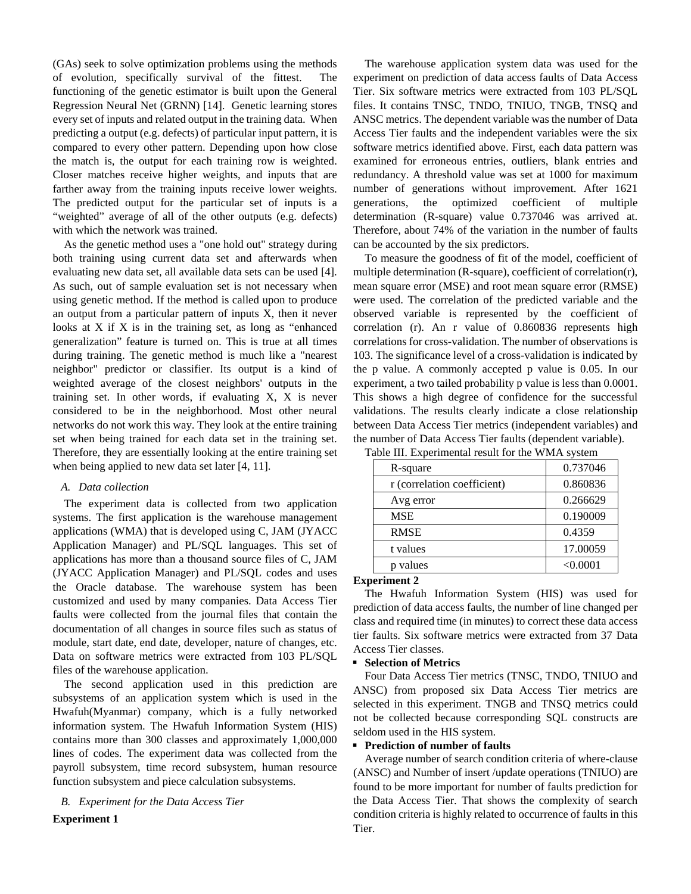(GAs) seek to solve optimization problems using the methods of evolution, specifically survival of the fittest. The functioning of the genetic estimator is built upon the General Regression Neural Net (GRNN) [14]. Genetic learning stores every set of inputs and related output in the training data. When predicting a output (e.g. defects) of particular input pattern, it is compared to every other pattern. Depending upon how close the match is, the output for each training row is weighted. Closer matches receive higher weights, and inputs that are farther away from the training inputs receive lower weights. The predicted output for the particular set of inputs is a "weighted" average of all of the other outputs (e.g. defects) with which the network was trained.

As the genetic method uses a "one hold out" strategy during both training using current data set and afterwards when evaluating new data set, all available data sets can be used [4]. As such, out of sample evaluation set is not necessary when using genetic method. If the method is called upon to produce an output from a particular pattern of inputs X, then it never looks at X if X is in the training set, as long as "enhanced generalization" feature is turned on. This is true at all times during training. The genetic method is much like a "nearest neighbor" predictor or classifier. Its output is a kind of weighted average of the closest neighbors' outputs in the training set. In other words, if evaluating X, X is never considered to be in the neighborhood. Most other neural networks do not work this way. They look at the entire training set when being trained for each data set in the training set. Therefore, they are essentially looking at the entire training set when being applied to new data set later [4, 11].

## *A. Data collection*

The experiment data is collected from two application systems. The first application is the warehouse management applications (WMA) that is developed using C, JAM (JYACC Application Manager) and PL/SQL languages. This set of applications has more than a thousand source files of C, JAM (JYACC Application Manager) and PL/SQL codes and uses the Oracle database. The warehouse system has been customized and used by many companies. Data Access Tier faults were collected from the journal files that contain the documentation of all changes in source files such as status of module, start date, end date, developer, nature of changes, etc. Data on software metrics were extracted from 103 PL/SQL files of the warehouse application.

The second application used in this prediction are subsystems of an application system which is used in the Hwafuh(Myanmar) company, which is a fully networked information system. The Hwafuh Information System (HIS) contains more than 300 classes and approximately 1,000,000 lines of codes. The experiment data was collected from the payroll subsystem, time record subsystem, human resource function subsystem and piece calculation subsystems.

*B. Experiment for the Data Access Tier*  **Experiment 1** 

The warehouse application system data was used for the experiment on prediction of data access faults of Data Access Tier. Six software metrics were extracted from 103 PL/SQL files. It contains TNSC, TNDO, TNIUO, TNGB, TNSQ and ANSC metrics. The dependent variable was the number of Data Access Tier faults and the independent variables were the six software metrics identified above. First, each data pattern was examined for erroneous entries, outliers, blank entries and redundancy. A threshold value was set at 1000 for maximum number of generations without improvement. After 1621 generations, the optimized coefficient of multiple determination (R-square) value 0.737046 was arrived at. Therefore, about 74% of the variation in the number of faults can be accounted by the six predictors.

To measure the goodness of fit of the model, coefficient of multiple determination (R-square), coefficient of correlation(r), mean square error (MSE) and root mean square error (RMSE) were used. The correlation of the predicted variable and the observed variable is represented by the coefficient of correlation (r). An r value of 0.860836 represents high correlations for cross-validation. The number of observations is 103. The significance level of a cross-validation is indicated by the p value. A commonly accepted p value is 0.05. In our experiment, a two tailed probability p value is less than 0.0001. This shows a high degree of confidence for the successful validations. The results clearly indicate a close relationship between Data Access Tier metrics (independent variables) and the number of Data Access Tier faults (dependent variable).

| R-square                    | 0.737046 |
|-----------------------------|----------|
| r (correlation coefficient) | 0.860836 |
| Avg error                   | 0.266629 |
| <b>MSE</b>                  | 0.190009 |
| <b>RMSE</b>                 | 0.4359   |
| t values                    | 17.00059 |
| values                      | < 0.0001 |

Table III. Experimental result for the WMA system

## **Experiment 2**

The Hwafuh Information System (HIS) was used for prediction of data access faults, the number of line changed per class and required time (in minutes) to correct these data access tier faults. Six software metrics were extracted from 37 Data Access Tier classes.

#### **Selection of Metrics**

Four Data Access Tier metrics (TNSC, TNDO, TNIUO and ANSC) from proposed six Data Access Tier metrics are selected in this experiment. TNGB and TNSQ metrics could not be collected because corresponding SQL constructs are seldom used in the HIS system.

## **Prediction of number of faults**

Average number of search condition criteria of where-clause (ANSC) and Number of insert /update operations (TNIUO) are found to be more important for number of faults prediction for the Data Access Tier. That shows the complexity of search condition criteria is highly related to occurrence of faults in this Tier.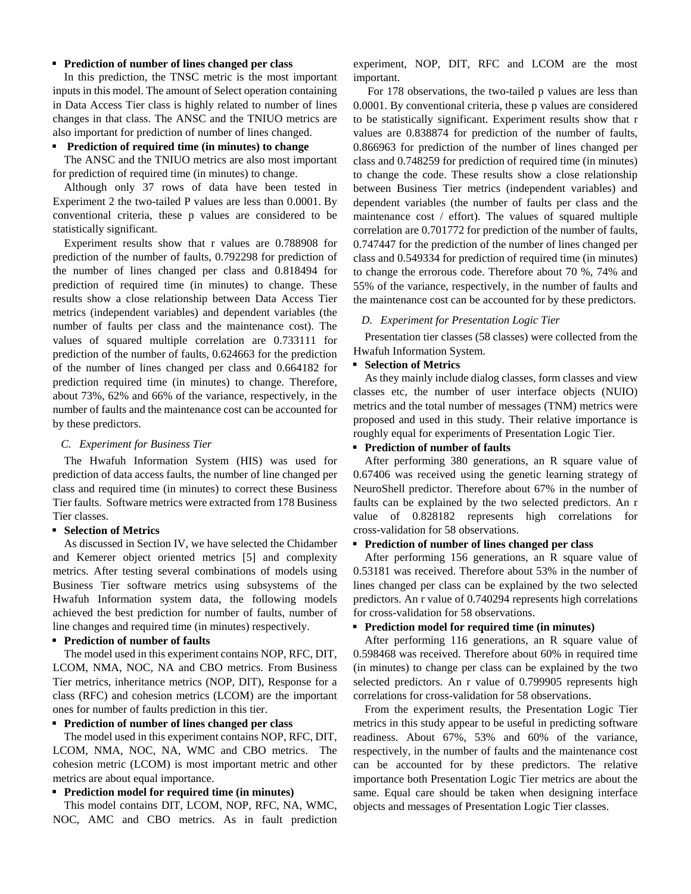#### **Prediction of number of lines changed per class**

In this prediction, the TNSC metric is the most important inputs in this model. The amount of Select operation containing in Data Access Tier class is highly related to number of lines changes in that class. The ANSC and the TNIUO metrics are also important for prediction of number of lines changed.

#### **Prediction of required time (in minutes) to change**

The ANSC and the TNIUO metrics are also most important for prediction of required time (in minutes) to change.

Although only 37 rows of data have been tested in Experiment 2 the two-tailed P values are less than 0.0001. By conventional criteria, these p values are considered to be statistically significant.

Experiment results show that r values are 0.788908 for prediction of the number of faults, 0.792298 for prediction of the number of lines changed per class and 0.818494 for prediction of required time (in minutes) to change. These results show a close relationship between Data Access Tier metrics (independent variables) and dependent variables (the number of faults per class and the maintenance cost). The values of squared multiple correlation are 0.733111 for prediction of the number of faults, 0.624663 for the prediction of the number of lines changed per class and 0.664182 for prediction required time (in minutes) to change. Therefore, about 73%, 62% and 66% of the variance, respectively, in the number of faults and the maintenance cost can be accounted for by these predictors.

#### *C. Experiment for Business Tier*

The Hwafuh Information System (HIS) was used for prediction of data access faults, the number of line changed per class and required time (in minutes) to correct these Business Tier faults. Software metrics were extracted from 178 Business Tier classes.

#### **Selection of Metrics**

As discussed in Section IV, we have selected the Chidamber and Kemerer object oriented metrics [5] and complexity metrics. After testing several combinations of models using Business Tier software metrics using subsystems of the Hwafuh Information system data, the following models achieved the best prediction for number of faults, number of line changes and required time (in minutes) respectively.

#### **Prediction of number of faults**

The model used in this experiment contains NOP, RFC, DIT, LCOM, NMA, NOC, NA and CBO metrics. From Business Tier metrics, inheritance metrics (NOP, DIT), Response for a class (RFC) and cohesion metrics (LCOM) are the important ones for number of faults prediction in this tier.

## **Prediction of number of lines changed per class**

The model used in this experiment contains NOP, RFC, DIT, LCOM, NMA, NOC, NA, WMC and CBO metrics. The cohesion metric (LCOM) is most important metric and other metrics are about equal importance.

#### **Prediction model for required time (in minutes)**

This model contains DIT, LCOM, NOP, RFC, NA, WMC, NOC, AMC and CBO metrics. As in fault prediction experiment, NOP, DIT, RFC and LCOM are the most important.

 For 178 observations, the two-tailed p values are less than 0.0001. By conventional criteria, these p values are considered to be statistically significant. Experiment results show that r values are 0.838874 for prediction of the number of faults, 0.866963 for prediction of the number of lines changed per class and 0.748259 for prediction of required time (in minutes) to change the code. These results show a close relationship between Business Tier metrics (independent variables) and dependent variables (the number of faults per class and the maintenance cost / effort). The values of squared multiple correlation are 0.701772 for prediction of the number of faults, 0.747447 for the prediction of the number of lines changed per class and 0.549334 for prediction of required time (in minutes) to change the errorous code. Therefore about 70 %, 74% and 55% of the variance, respectively, in the number of faults and the maintenance cost can be accounted for by these predictors.

#### *D. Experiment for Presentation Logic Tier*

Presentation tier classes (58 classes) were collected from the Hwafuh Information System.

#### **Selection of Metrics**

As they mainly include dialog classes, form classes and view classes etc, the number of user interface objects (NUIO) metrics and the total number of messages (TNM) metrics were proposed and used in this study. Their relative importance is roughly equal for experiments of Presentation Logic Tier.

## **Prediction of number of faults**

After performing 380 generations, an R square value of 0.67406 was received using the genetic learning strategy of NeuroShell predictor. Therefore about 67% in the number of faults can be explained by the two selected predictors. An r value of 0.828182 represents high correlations for cross-validation for 58 observations.

#### **Prediction of number of lines changed per class**

After performing 156 generations, an R square value of 0.53181 was received. Therefore about 53% in the number of lines changed per class can be explained by the two selected predictors. An r value of 0.740294 represents high correlations for cross-validation for 58 observations.

# **Prediction model for required time (in minutes)**

After performing 116 generations, an R square value of 0.598468 was received. Therefore about 60% in required time (in minutes) to change per class can be explained by the two selected predictors. An r value of 0.799905 represents high correlations for cross-validation for 58 observations.

From the experiment results, the Presentation Logic Tier metrics in this study appear to be useful in predicting software readiness. About 67%, 53% and 60% of the variance, respectively, in the number of faults and the maintenance cost can be accounted for by these predictors. The relative importance both Presentation Logic Tier metrics are about the same. Equal care should be taken when designing interface objects and messages of Presentation Logic Tier classes.